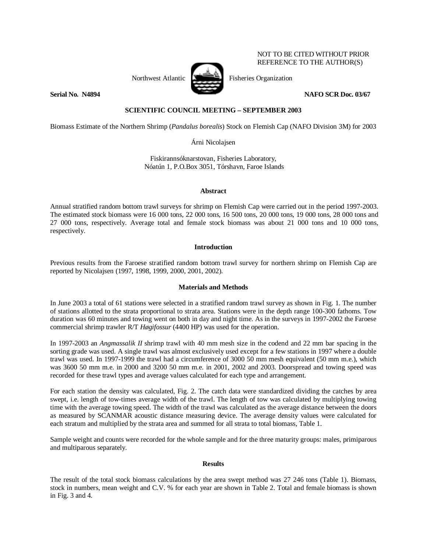

NOT TO BE CITED WITHOUT PRIOR REFERENCE TO THE AUTHOR(S)

## **Serial No. N4894** NAFO SCR Doc. 03/67

# **SCIENTIFIC COUNCIL MEETING – SEPTEMBER 2003**

Biomass Estimate of the Northern Shrimp (*Pandalus borealis*) Stock on Flemish Cap (NAFO Division 3M) for 2003

Árni Nicolajsen

Fiskirannsóknarstovan, Fisheries Laboratory, Nóatún 1, P.O.Box 3051, Tórshavn, Faroe Islands

## **Abstract**

Annual stratified random bottom trawl surveys for shrimp on Flemish Cap were carried out in the period 1997-2003. The estimated stock biomass were 16 000 tons, 22 000 tons, 16 500 tons, 20 000 tons, 19 000 tons, 28 000 tons and 27 000 tons, respectively. Average total and female stock biomass was about 21 000 tons and 10 000 tons, respectively.

## **Introduction**

Previous results from the Faroese stratified random bottom trawl survey for northern shrimp on Flemish Cap are reported by Nicolajsen (1997, 1998, 1999, 2000, 2001, 2002).

## **Materials and Methods**

In June 2003 a total of 61 stations were selected in a stratified random trawl survey as shown in Fig. 1. The number of stations allotted to the strata proportional to strata area. Stations were in the depth range 100-300 fathoms. Tow duration was 60 minutes and towing went on both in day and night time. As in the surveys in 1997-2002 the Faroese commercial shrimp trawler R/T *Høgifossur* (4400 HP) was used for the operation.

In 1997-2003 an *Angmassalik II* shrimp trawl with 40 mm mesh size in the codend and 22 mm bar spacing in the sorting grade was used. A single trawl was almost exclusively used except for a few stations in 1997 where a double trawl was used. In 1997-1999 the trawl had a circumference of 3000 50 mm mesh equivalent (50 mm m.e.), which was 3600 50 mm m.e. in 2000 and 3200 50 mm m.e. in 2001, 2002 and 2003. Doorspread and towing speed was recorded for these trawl types and average values calculated for each type and arrangement.

For each station the density was calculated, Fig. 2. The catch data were standardized dividing the catches by area swept, i.e. length of tow-times average width of the trawl. The length of tow was calculated by multiplying towing time with the average towing speed. The width of the trawl was calculated as the average distance between the doors as measured by SCANMAR acoustic distance measuring device. The average density values were calculated for each stratum and multiplied by the strata area and summed for all strata to total biomass, Table 1.

Sample weight and counts were recorded for the whole sample and for the three maturity groups: males, primiparous and multiparous separately.

## **Results**

The result of the total stock biomass calculations by the area swept method was 27 246 tons (Table 1). Biomass, stock in numbers, mean weight and C.V. % for each year are shown in Table 2. Total and female biomass is shown in Fig. 3 and 4.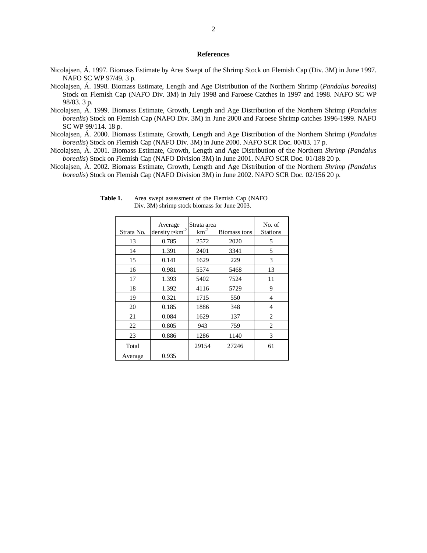### **References**

- Nicolajsen, Á. 1997. Biomass Estimate by Area Swept of the Shrimp Stock on Flemish Cap (Div. 3M) in June 1997. NAFO SC WP 97/49. 3 p.
- Nicolajsen, Á. 1998. Biomass Estimate, Length and Age Distribution of the Northern Shrimp (*Pandalus borealis*) Stock on Flemish Cap (NAFO Div. 3M) in July 1998 and Faroese Catches in 1997 and 1998. NAFO SC WP 98/83. 3 p.
- Nicolajsen, Á. 1999. Biomass Estimate, Growth, Length and Age Distribution of the Northern Shrimp (*Pandalus borealis*) Stock on Flemish Cap (NAFO Div. 3M) in June 2000 and Faroese Shrimp catches 1996-1999. NAFO SC WP 99/114. 18 p.
- Nicolajsen, Á. 2000. Biomass Estimate, Growth, Length and Age Distribution of the Northern Shrimp (*Pandalus borealis*) Stock on Flemish Cap (NAFO Div. 3M) in June 2000. NAFO SCR Doc. 00/83. 17 p.
- Nicolajsen, Á. 2001. Biomass Estimate, Growth, Length and Age Distribution of the Northern *Shrimp (Pandalus borealis*) Stock on Flemish Cap (NAFO Division 3M) in June 2001. NAFO SCR Doc. 01/188 20 p.
- Nicolajsen, Á. 2002. Biomass Estimate, Growth, Length and Age Distribution of the Northern *Shrimp (Pandalus borealis*) Stock on Flemish Cap (NAFO Division 3M) in June 2002. NAFO SCR Doc. 02/156 20 p.

| Strata No. | Average<br>density to km <sup>-2</sup> | Strata area<br>$km^{-2}$ | Biomass tons | No. of<br><b>Stations</b> |
|------------|----------------------------------------|--------------------------|--------------|---------------------------|
| 13         | 0.785                                  | 2572                     | 2020         | 5                         |
| 14         | 1.391                                  | 2401                     | 3341         | 5                         |
| 15         | 0.141                                  | 1629                     | 229          | 3                         |
| 16         | 0.981                                  | 5574                     | 5468         | 13                        |
| 17         | 1.393                                  | 5402                     | 7524         | 11                        |
| 18         | 1.392                                  | 4116                     | 5729         | 9                         |
| 19         | 0.321                                  | 1715                     | 550          | 4                         |
| 20         | 0.185                                  | 1886                     | 348          | 4                         |
| 21         | 0.084                                  | 1629                     | 137          | 2                         |
| 22         | 0.805                                  | 943                      | 759          | 2                         |
| 23         | 0.886                                  | 1286                     | 1140         | 3                         |
| Total      |                                        | 29154                    | 27246        | 61                        |
| Average    | 0.935                                  |                          |              |                           |

**Table 1.** Area swept assessment of the Flemish Cap (NAFO Div. 3M) shrimp stock biomass for June 2003.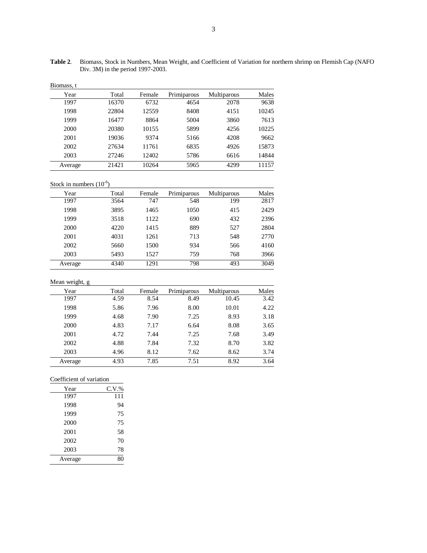**Table 2**. Biomass, Stock in Numbers, Mean Weight, and Coefficient of Variation for northern shrimp on Flemish Cap (NAFO Div. 3M) in the period 1997-2003.

| Biomass. |  |
|----------|--|
|----------|--|

| Year    | Total | Female | Primiparous | Multiparous | Males |
|---------|-------|--------|-------------|-------------|-------|
| 1997    | 16370 | 6732   | 4654        | 2078        | 9638  |
| 1998    | 22804 | 12559  | 8408        | 4151        | 10245 |
| 1999    | 16477 | 8864   | 5004        | 3860        | 7613  |
| 2000    | 20380 | 10155  | 5899        | 4256        | 10225 |
| 2001    | 19036 | 9374   | 5166        | 4208        | 9662  |
| 2002    | 27634 | 11761  | 6835        | 4926        | 15873 |
| 2003    | 27246 | 12402  | 5786        | 6616        | 14844 |
| Average | 21421 | 10264  | 5965        | 4299        | 11157 |

Stock in numbers  $(10^{-6})$ 

| Year    | Total | Female | Primiparous | Multiparous | Males |
|---------|-------|--------|-------------|-------------|-------|
| 1997    | 3564  | 747    | 548         | 199         | 2817  |
| 1998    | 3895  | 1465   | 1050        | 415         | 2429  |
| 1999    | 3518  | 1122   | 690         | 432         | 2396  |
| 2000    | 4220  | 1415   | 889         | 527         | 2804  |
| 2001    | 4031  | 1261   | 713         | 548         | 2770  |
| 2002    | 5660  | 1500   | 934         | 566         | 4160  |
| 2003    | 5493  | 1527   | 759         | 768         | 3966  |
| Average | 4340  | 1291   | 798         | 493         | 3049  |

Mean weight, g

| Year    | Total | Female | Primiparous | Multiparous | Males |
|---------|-------|--------|-------------|-------------|-------|
| 1997    | 4.59  | 8.54   | 8.49        | 10.45       | 3.42  |
| 1998    | 5.86  | 7.96   | 8.00        | 10.01       | 4.22  |
| 1999    | 4.68  | 7.90   | 7.25        | 8.93        | 3.18  |
| 2000    | 4.83  | 7.17   | 6.64        | 8.08        | 3.65  |
| 2001    | 4.72  | 7.44   | 7.25        | 7.68        | 3.49  |
| 2002    | 4.88  | 7.84   | 7.32        | 8.70        | 3.82  |
| 2003    | 4.96  | 8.12   | 7.62        | 8.62        | 3.74  |
| Average | 4.93  | 7.85   | 7.51        | 8.92        | 3.64  |

Coefficient of variation

| Year    | C.V.% |
|---------|-------|
| 1997    | 111   |
| 1998    | 94    |
| 1999    | 75    |
| 2000    | 75    |
| 2001    | 58    |
| 2002    | 70    |
| 2003    | 78    |
| Average | 80    |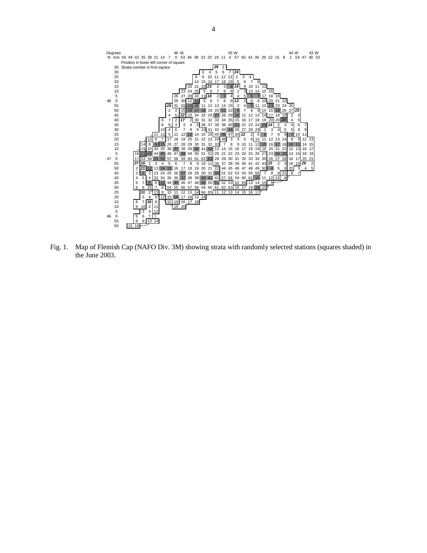

Fig. 1. Map of Flemish Cap (NAFO Div. 3M) showing strata with randomly selected stations (squares shaded) in the June 2003.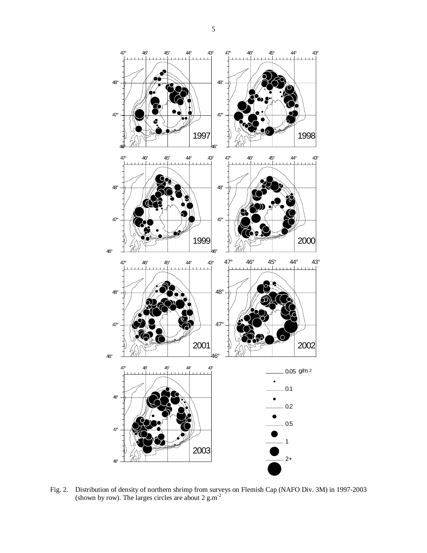

Fig. 2. Distribution of density of northern shrimp from surveys on Flemish Cap (NAFO Div. 3M) in 1997-2003 (shown by row). The larges circles are about 2 g.m<sup>-2</sup>